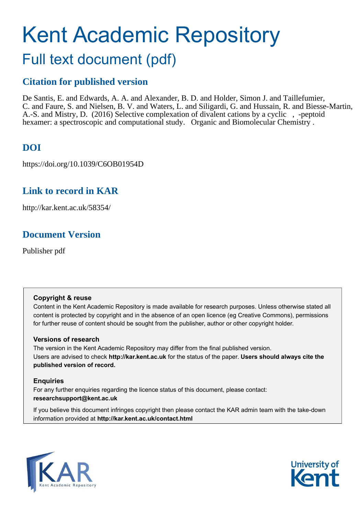# Kent Academic Repository Full text document (pdf)

## **Citation for published version**

De Santis, E. and Edwards, A. A. and Alexander, B. D. and Holder, Simon J. and Taillefumier, C. and Faure, S. and Nielsen, B. V. and Waters, L. and Siligardi, G. and Hussain, R. and Biesse-Martin, A.-S. and Mistry, D. (2016) Selective complexation of divalent cations by a cyclic , -peptoid hexamer: a spectroscopic and computational study. Organic and Biomolecular Chemistry.

### **DOI**

https://doi.org/10.1039/C6OB01954D

### **Link to record in KAR**

http://kar.kent.ac.uk/58354/

### **Document Version**

Publisher pdf

#### **Copyright & reuse**

Content in the Kent Academic Repository is made available for research purposes. Unless otherwise stated all content is protected by copyright and in the absence of an open licence (eg Creative Commons), permissions for further reuse of content should be sought from the publisher, author or other copyright holder.

#### **Versions of research**

The version in the Kent Academic Repository may differ from the final published version. Users are advised to check **http://kar.kent.ac.uk** for the status of the paper. **Users should always cite the published version of record.**

#### **Enquiries**

For any further enquiries regarding the licence status of this document, please contact: **researchsupport@kent.ac.uk**

If you believe this document infringes copyright then please contact the KAR admin team with the take-down information provided at **http://kar.kent.ac.uk/contact.html**



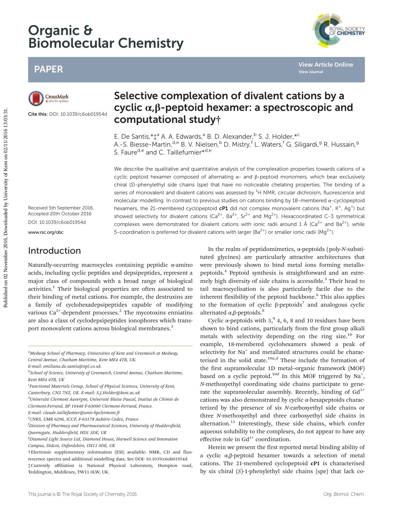## Organic & Biomolecular Chemistry

### PAPER



Cite this: DOI: 10.1039/c6ob01954d

cyclic  $\alpha$ , β-peptoid hexamer: a spectroscopic and computational study† E. De Santis, \*  $\ddagger$ <sup>a</sup> A. A. Edwards,<sup>a</sup> B. D. Alexander, <sup>b</sup> S. J. Holder, \*<sup>c</sup>

A.-S. Biesse-Martin, <sup>d.e</sup> B. V. Nielsen, <sup>b</sup> D. Mistry, <sup>f</sup> L. Waters, <sup>f</sup> G. Siligardi, <sup>g</sup> R. Hussain, <sup>g</sup>

Selective complexation of divalent cations by a

S. Faure<sup>d,e</sup> and C. Taillefumier\*<sup>d,e</sup>

We describe the qualitative and quantitative analysis of the complexation properties towards cations of a cyclic peptoid hexamer composed of alternating  $\alpha$ - and β-peptoid monomers, which bear exclusively chiral (S)-phenylethyl side chains (spe) that have no noticeable chelating properties. The binding of a series of monovalent and divalent cations was assessed by  ${}^{1}H$  NMR, circular dichroism, fluorescence and molecular modelling. In contrast to previous studies on cations binding by 18-membered α-cyclopeptoid hexamers, the 21-membered cyclopeptoid  $cP1$  did not complex monovalent cations (Na<sup>+</sup>, K<sup>+</sup>, Ag<sup>+</sup>) but showed selectivity for divalent cations (Ca<sup>2+</sup>, Ba<sup>2+</sup>, Sr<sup>2+</sup> and Mq<sup>2+</sup>). Hexacoordinated C-3 symmetrical complexes were demonstrated for divalent cations with ionic radii around 1 Å (Ca<sup>2+</sup> and Ba<sup>2+</sup>), while 5-coordination is preferred for divalent cations with larger (Ba<sup>2+</sup>) or smaller ionic radii (Mg<sup>2+</sup>).

Received 5th September 2016, Accepted 20th October 2016 DOI: 10.1039/c6ob01954d

<www.rsc.org/obc>

### Introduction

Naturally-occurring macrocycles containing peptidic α-amino acids, including cyclic peptides and depsipeptides, represent a major class of compounds with a broad range of biological activities.<sup>1</sup> Their biological properties are often associated to their binding of metal cations. For example, the destruxins are a family of cyclohexadepsipeptides capable of modifying various Ca $^{2+}$ -dependent processes. $^2$  The mycotoxins enniatins are also a class of cyclodepsipeptides ionophores which transport monovalent cations across biological membranes.<sup>3</sup>

E-mail: emiliana.de.santis@npl.co.uk

<sup>d</sup>Université Clermont Auvergne, Université Blaise Pascal, Institut de Chimie de Clermont-Ferrand, BP 10448 F-63000 Clermont-Ferrand, France.

<sup>e</sup>CNRS, UMR 6296, ICCF, F-63178 Aubière Cedex, France

 $f$ Division of Pharmacy and Pharmaceutical Sciences, University of Huddersfield, Queensgate, Huddersfield, HD1 3DE, UK

In the realm of peptidomimetics,  $\alpha$ -peptoids (poly-N-substituted glycines) are particularly attractive architectures that were previously shown to bind metal ions forming metallopeptoids.<sup>4</sup> Peptoid synthesis is straightforward and an extremely high diversity of side chains is accessible.<sup>5</sup> Their head to tail macrocyclisation is also particularly facile due to the inherent flexibility of the peptoid backbone.<sup>6</sup> This also applies to the formation of cyclic  $β$ -peptoids<sup>7</sup> and analogous cyclic alternated  $\alpha$ , β-peptoids.<sup>8</sup>

Cyclic  $\alpha$ -peptoids with 3,<sup>9</sup> 4, 6, 8 and 10 residues have been shown to bind cations, particularly from the first group alkali metals with selectivity depending on the ring size.<sup>10</sup> For example, 18-membered cyclohexamers showed a peak of selectivity for Na<sup>+</sup> and metallated structures could be characterised in the solid state.<sup>10a,d</sup> These include the formation of the first supramolecular 1D metal–organic framework (MOF) based on a cyclic peptoid.<sup>10d</sup> In this MOF triggered by Na<sup>+</sup>, N-methoxyethyl coordinating side chains participate to generate the supramolecular assembly. Recently, binding of  $Gd^{3+}$ cations was also demonstrated by cyclic α-hexapeptoids characterized by the presence of six N-carboxyethyl side chains or three N-methoxyethyl and three carboxyethyl side chains in alternation.<sup>11</sup> Interestingly, these side chains, which confer aqueous solubility to the complexes, do not appear to have any effective role in  $Gd^{3+}$  coordination.

Herein we present the first reported metal binding ability of a cyclic α,β-peptoid hexamer towards a selection of metal cations. The 21-membered cyclopeptoid cP1 is characterised by six chiral  $(S)$ -1-phenylethyl side chains (spe) that lack co-



**[View Article Online](http://dx.doi.org/10.1039/c6ob01954d)**

**[View Journal](http://pubs.rsc.org/en/journals/journal/OB)**

<sup>&</sup>lt;sup>a</sup>Medway School of Pharmacy, Universities of Kent and Greenwich at Medway, Central Avenue, Chatham Maritime, Kent ME4 4TB, UK.

<sup>&</sup>lt;sup>b</sup>School of Science, University of Greenwich, Central Avenue, Chatham Maritime, Kent ME4 4TB, UK

<sup>&</sup>lt;sup>c</sup>Functional Materials Group, School of Physical Sciences, University of Kent, Canterbury, CN2 7NZ, UK. E-mail: S.J.Holder@kent.ac.uk

E-mail: claude.taillefumier@univ-bpclermont.fr

 ${}^{g}$ Diamond Light Source Ltd, Diamond House, Harwell Science and Innovation Campus, Didcot, Oxfordshire, OX11 0DE, UK

<sup>†</sup>Electronic supplementary information (ESI) available: NMR, CD and fluorescence spectra and additional modelling data. See DOI: 10.1039/c6ob01954d ‡Currently affiliation is National Physical Laboratory, Hampton road, Teddington, Middlesex, TW11 0LW, UK.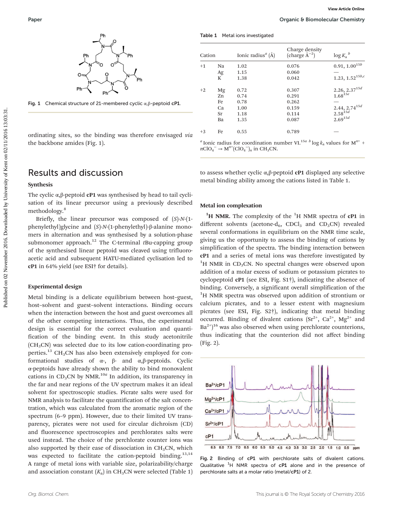

Fig. 1 Chemical structure of 21-membered cyclic α,β-peptoid cP1.

ordinating sites, so the binding was therefore envisaged via the backbone amides (Fig. 1).

#### Results and discussion

#### Synthesis

The cyclic  $\alpha$ , $\beta$ -peptoid **cP1** was synthesised by head to tail cyclisation of its linear precursor using a previously described methodology.<sup>8</sup>

Briefly, the linear precursor was composed of  $(S)$ -N- $(1$ phenylethyl)glycine and (S)-N-(1-phenylethyl)-β-alanine monomers in alternation and was synthesised by a solution-phase submonomer approach.<sup>12</sup> The C-terminal  $t$ Bu-capping group of the synthesised linear peptoid was cleaved using trifluoroacetic acid and subsequent HATU-mediated cyclisation led to cP1 in 64% yield (see ESI† for details).

#### Experimental design

Metal binding is a delicate equilibrium between host–guest, host–solvent and guest–solvent interactions. Binding occurs when the interaction between the host and guest overcomes all of the other competing interactions. Thus, the experimental design is essential for the correct evaluation and quantification of the binding event. In this study acetonitrile  $(CH<sub>3</sub>CN)$  was selected due to its low cation-coordinating properties.<sup>13</sup> CH<sub>3</sub>CN has also been extensively employed for conformational studies of α-, β- and α,β-peptoids. Cyclic α-peptoids have already shown the ability to bind monovalent cations in CD<sub>3</sub>CN by NMR.<sup>10a</sup> In addition, its transparency in the far and near regions of the UV spectrum makes it an ideal solvent for spectroscopic studies. Picrate salts were used for NMR analysis to facilitate the quantification of the salt concentration, which was calculated from the aromatic region of the spectrum (6–9 ppm). However, due to their limited UV transparency, picrates were not used for circular dichroism (CD) and fluorescence spectroscopies and perchlorates salts were used instead. The choice of the perchlorate counter ions was also supported by their ease of dissociation in  $CH<sub>3</sub>CN$ , which was expected to facilitate the cation-peptoid binding.<sup>13,14</sup> A range of metal ions with variable size, polarizability/charge and association constant  $(K_{\mathrm{a}})$  in CH<sub>3</sub>CN were selected (Table 1)

|  |  | Table 1 Metal ions investigated |
|--|--|---------------------------------|
|--|--|---------------------------------|

| Cation |    | Ionic radius <sup><i>a</i></sup> ( $\AA$ ) | Charge density<br>(charge $\AA^{-2}$ ) | $\log K_a{}^b$       |
|--------|----|--------------------------------------------|----------------------------------------|----------------------|
| $+1$   | Na | 1.02                                       | 0.076                                  | $0.91, 1.00^{15b}$   |
|        | Ag | 1.15                                       | 0.060                                  |                      |
|        | K  | 1.38                                       | 0.042                                  | $1.23, 1.52^{15b,c}$ |
| $+2$   | Mg | 0.72                                       | 0.307                                  | 2.26, $2.37^{15d}$   |
|        | Zn | 0.74                                       | 0.291                                  | $1.68^{15e}$         |
|        | Fe | 0.78                                       | 0.262                                  |                      |
|        | Ca | 1.00                                       | 0.159                                  | 2.44, $2.74^{15d}$   |
|        | Sr | 1.18                                       | 0.114                                  | $2.58^{15d}$         |
|        | Ba | 1.35                                       | 0.087                                  | $2.69^{15d}$         |
| $+3$   | Fe | 0.55                                       | 0.789                                  |                      |

<sup>*a*</sup> Ionic radius for coordination number VI.<sup>15*a*</sup> *b* log  $k_a$  values for M<sup>n+</sup> +  $nClO_4^- \rightarrow M^{n+} (ClO_4^-)_n$  in CH<sub>3</sub>CN.

to assess whether cyclic α,β-peptoid cP1 displayed any selective metal binding ability among the cations listed in Table 1.

#### Metal ion complexation

<sup>1</sup>H NMR. The complexity of the <sup>1</sup>H NMR spectra of **cP1** in different solvents (acetone-d<sub>6</sub>, CDCl<sub>3</sub> and CD<sub>3</sub>CN) revealed several conformations in equilibrium on the NMR time scale, giving us the opportunity to assess the binding of cations by simplification of the spectra. The binding interaction between cP1 and a series of metal ions was therefore investigated by  ${}^{1}$ H NMR in CD<sub>3</sub>CN. No spectral changes were observed upon addition of a molar excess of sodium or potassium picrates to cyclopeptoid cP1 (see ESI, Fig. S1†), indicating the absence of binding. Conversely, a significant overall simplification of the <sup>1</sup>H NMR spectra was observed upon addition of strontium or calcium picrates, and to a lesser extent with magnesium picrates (see ESI, Fig. S2†), indicating that metal binding occurred. Binding of divalent cations  $(Sr^{2+}, Ca^{2+}, Mg^{2+})$  and  $Ba^{2+}$ <sup>16</sup> was also observed when using perchlorate counterions, thus indicating that the counterion did not affect binding (Fig. 2).



Fig. 2 Binding of cP1 with perchlorate salts of divalent cations. Qualitative  ${}^{1}H$  NMR spectra of cP1 alone and in the presence of perchlorate salts at a molar ratio (metal/cP1) of 2.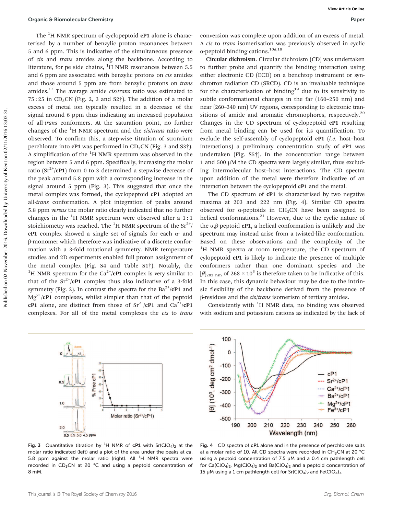The  ${}^{1}$ H NMR spectrum of cyclopeptoid **cP1** alone is characterised by a number of benzylic proton resonances between 5 and 6 ppm. This is indicative of the simultaneous presence of cis and trans amides along the backbone. According to literature, for pe side chains,  ${}^{1}$ H NMR resonances between 5.5 and 6 ppm are associated with benzylic protons on cis amides and those around 5 ppm are from benzylic protons on trans amides.<sup>17</sup> The average amide *cis/trans* ratio was estimated to  $75:25$  in CD<sub>3</sub>CN (Fig. 2, 3 and S2†). The addition of a molar excess of metal ion typically resulted in a decrease of the signal around 6 ppm thus indicating an increased population of all-trans conformers. At the saturation point, no further changes of the  ${}^{1}$ H NMR spectrum and the *cis/trans* ratio were observed. To confirm this, a step-wise titration of strontium perchlorate into **cP1** was performed in  $CD_3CN$  (Fig. 3 and S3 $\dagger$ ). A simplification of the  ${}^{1}$ H NMR spectrum was observed in the region between 5 and 6 ppm. Specifically, increasing the molar ratio ( $Sr^{2+}/cP1$ ) from 0 to 3 determined a stepwise decrease of the peak around 5.8 ppm with a corresponding increase in the signal around 5 ppm (Fig. 3). This suggested that once the metal complex was formed, the cyclopeptoid cP1 adopted an all-trans conformation. A plot integration of peaks around 5.8 ppm versus the molar ratio clearly indicated that no further changes in the  ${}^{1}$ H NMR spectrum were observed after a 1:1 stoichiometry was reached. The <sup>1</sup>H NMR spectrum of the  $\text{Sr}^{2+}/$ cP1 complex showed a single set of signals for each  $α$ - and β-monomer which therefore was indicative of a discrete conformation with a 3-fold rotational symmetry. NMR temperature studies and 2D experiments enabled full proton assignment of the metal complex (Fig. S4 and Table S1†). Notably, the <sup>1</sup>H NMR spectrum for the Ca<sup>2+</sup>/cP1 complex is very similar to that of the  $Sr^{2+}/\mathbb{C}P1$  complex thus also indicative of a 3-fold symmetry (Fig. 2). In contrast the spectra for the  $Ba^{2+}/cP1$  and  $Mg^{2+}/cP1$  complexes, whilst simpler than that of the peptoid cP1 alone, are distinct from those of  $Sr^{2+}/cP1$  and  $Ca^{2+}/cP1$ complexes. For all of the metal complexes the cis to trans

conversion was complete upon addition of an excess of metal. A cis to trans isomerisation was previously observed in cyclic α-peptoid binding cations.10a,18

Circular dichroism. Circular dichroism (CD) was undertaken to further probe and quantify the binding interaction using either electronic CD (ECD) on a benchtop instrument or synchrotron radiation CD (SRCD). CD is an invaluable technique for the characterisation of binding<sup>19</sup> due to its sensitivity to subtle conformational changes in the far (160–250 nm) and near (260–340 nm) UV regions, corresponding to electronic transitions of amide and aromatic chromophores, respectively.<sup>20</sup> Changes in the CD spectrum of cyclopeptoid cP1 resulting from metal binding can be used for its quantification. To exclude the self-assembly of cyclopeptoid  $cP1$  (*i.e.* host-host interactions) a preliminary concentration study of cP1 was undertaken (Fig. S5†). In the concentration range between 1 and 500 µM the CD spectra were largely similar, thus excluding intermolecular host–host interactions. The CD spectra upon addition of the metal were therefore indicative of an interaction between the cyclopeptoid cP1 and the metal.

The CD spectrum of cP1 is characterised by two negative maxima at 203 and 222 nm (Fig. 4). Similar CD spectra observed for  $\alpha$ -peptoids in CH<sub>3</sub>CN have been assigned to helical conformations. $^{21}$  However, due to the cyclic nature of the  $\alpha$ , $\beta$ -peptoid **cP1**, a helical conformation is unlikely and the spectrum may instead arise from a twisted-like conformation. Based on these observations and the complexity of the <sup>1</sup>H NMR spectra at room temperature, the CD spectrum of cylopeptoid cP1 is likely to indicate the presence of multiple conformers rather than one dominant species and the  $[\theta]_{203 \text{ nm}}$  of 268 × 10<sup>3</sup> is therefore taken to be indicative of this. In this case, this dynamic behaviour may be due to the intrinsic flexibility of the backbone derived from the presence of β-residues and the cis/trans isomerism of tertiary amides.

Consistently with  ${}^{1}H$  NMR data, no binding was observed with sodium and potassium cations as indicated by the lack of



100 0] (10<sup>3</sup>, deg cm<sup>2</sup> dmol<sup>-1</sup>) **SHOPPIN** 0  $-100$  $cP1$  $-200$  $Sr<sup>2+/c</sup>P1$  $Ca<sup>2+</sup>/cP1$  $-300$  $Ba<sup>2+</sup>/cP1$  $Mg^{2+}/cP1$  $-400$  $Fe<sup>3+/c</sup>P1$  $-500$ 190 200 210 220 230 240 250 260 Wavelength (nm)

**Fig. 3** Quantitative titration by <sup>1</sup>H NMR of cP1 with Sr(ClO<sub>4</sub>)<sub>2</sub> at the molar ratio indicated (left) and a plot of the area under the peaks at ca. 5.8 ppm against the molar ratio (right). All  $^{1}$ H NMR spectra were recorded in  $CD_3CN$  at 20 °C and using a peptoid concentration of 8 mM.

Fig. 4 CD spectra of cP1 alone and in the presence of perchlorate salts at a molar ratio of 10. All CD spectra were recorded in CH<sub>3</sub>CN at 20 °C using a peptoid concentration of 7.5 µM and a 0.4 cm pathlength cell for  $Ca(CIO<sub>4</sub>)<sub>2</sub>$ , Mg(ClO<sub>4</sub>)<sub>2</sub> and Ba(ClO<sub>4</sub>)<sub>2</sub> and a peptoid concentration of 15 µM using a 1 cm pathlength cell for  $Sr(CIO<sub>4</sub>)<sub>2</sub>$  and  $Fe(CIO<sub>4</sub>)<sub>3</sub>$ .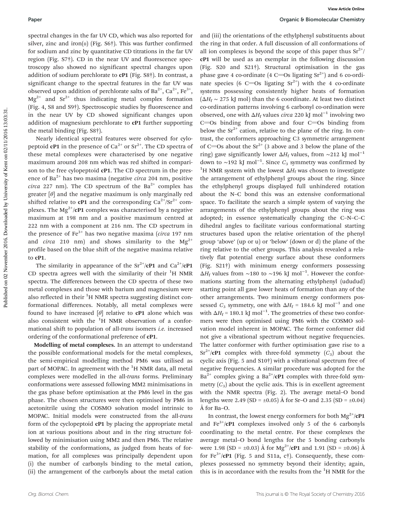spectral changes in the far UV CD, which was also reported for silver, zinc and iron( $\pi$ ) (Fig. S6†). This was further confirmed for sodium and zinc by quantitative CD titrations in the far UV region (Fig. S7†). CD in the near UV and fluorescence spectroscopy also showed no significant spectral changes upon addition of sodium perchlorate to cP1 (Fig. S8†). In contrast, a significant change to the spectral features in the far UV was observed upon addition of perchlorate salts of Ba<sup>2+</sup>, Ca<sup>2+</sup>, Fe<sup>3+</sup>,  $Mg^{2+}$  and  $Sr^{2+}$  thus indicating metal complex formation (Fig. 4, S8 and S9†). Spectroscopic studies by fluorescence and in the near UV by CD showed significant changes upon addition of magnesium perchlorate to cP1 further supporting the metal binding (Fig. S8†).

Nearly identical spectral features were observed for cylopeptoid **cP1** in the presence of  $Ca^{2+}$  or  $Sr^{2+}$ . The CD spectra of these metal complexes were characterised by one negative maximum around 208 nm which was red shifted in comparison to the free cylopeptoid cP1. The CD spectrum in the presence of Ba<sup>2+</sup> has two maxima (negative *circa* 204 nm, positive circa 227 nm). The CD spectrum of the  $Ba^{2+}$  complex has greater  $[\theta]$  and the negative maximum is only marginally red shifted relative to **cP1** and the corresponding  $Ca^{2+}/Sr^{2+}$  complexes. The  $Mg^{2+}/cP1$  complex was characterised by a negative maximum at 198 nm and a positive maximum centred at 222 nm with a component at 216 nm. The CD spectrum in the presence of  $Fe<sup>3+</sup>$  has two negative maxima (circa 197 nm and *circa* 210 nm) and shows similarity to the  $Mg^{2+}$ profile based on the blue shift of the negative maxima relative to cP1.

The similarity in appearance of the  $Sr^{2+}/cP1$  and  $Ca^{2+}/cP1$ CD spectra agrees well with the similarity of their  ${}^{1}H$  NMR spectra. The differences between the CD spectra of these two metal complexes and those with barium and magnesium were also reflected in their  ${}^{1}$ H NMR spectra suggesting distinct conformational differences. Notably, all metal complexes were found to have increased  $[\theta]$  relative to **cP1** alone which was also consistent with the  ${}^{1}$ H NMR observation of a conformational shift to population of all-trans isomers i.e. increased ordering of the conformational preference of cP1.

Modelling of metal complexes. In an attempt to understand the possible conformational models for the metal complexes, the semi-empirical modelling method PM6 was utilised as part of MOPAC. In agreement with the  ${}^{1}H$  NMR data, all metal complexes were modelled in the all-trans forms. Preliminary conformations were assessed following MM2 minimisations in the gas phase before optimisation at the PM6 level in the gas phase. The chosen structures were then optimised by PM6 in acetonitrile using the COSMO solvation model intrinsic to MOPAC. Initial models were constructed from the all-trans form of the cyclopeptoid cP1 by placing the appropriate metal ion at various positions about and in the ring structure followed by minimisation using MM2 and then PM6. The relative stability of the conformations, as judged from heats of formation, for all complexes was principally dependent upon (i) the number of carbonyls binding to the metal cation, (ii) the arrangement of the carbonyls about the metal cation

and (iii) the orientations of the ethylphenyl substituents about the ring in that order. A full discussion of all conformations of all ion complexes is beyond the scope of this paper thus  $Sr^{2+}/$ cP1 will be used as an exemplar in the following discussion (Fig. S20 and S21†). Structural optimisation in the gas phase gave 4 co-ordinate (4 C=Os ligating  $Sr^{2+}$ ) and 6 co-ordinate species (6 C=Os ligating  $Sr^{2+}$ ) with the 4 co-ordinate systems possessing consistently higher heats of formation  $(\Delta H_f \sim 275 \text{ kJ} \text{ mol})$  than the 6 coordinate. At least two distinct co-ordination patterns involving 6 carbonyl co-ordination were observed, one with  $\Delta H_f$  values *circa* 220 kJ mol<sup>-1</sup> involving two  $C = Os$  binding from above and four  $C = Os$  binding from below the  $Sr^{2+}$  cation, relative to the plane of the ring. In contrast, the conformers approaching C3 symmetric arrangement of C=Os about the  $Sr^{2+}$  (3 above and 3 below the plane of the ring) gave significantly lower  $\Delta H_f$  values, from ~212 kJ mol<sup>-1</sup> down to ~192 kJ mol<sup>-1</sup>. Since  $C_3$  symmetry was confirmed by <sup>1</sup>H NMR system with the lowest  $\Delta H_f$  was chosen to investigate the arrangement of ethylphenyl groups about the ring. Since the ethylphenyl groups displayed full unhindered rotation about the N–C bond this was an extensive conformational space. To facilitate the search a simple system of varying the arrangements of the ethylphenyl groups about the ring was adopted; in essence systematically changing the C–N–C–C dihedral angles to facilitate various conformational starting structures based upon the relative orientation of the phenyl group 'above' (up or u) or 'below' (down or d) the plane of the ring relative to the other groups. This analysis revealed a relatively flat potential energy surface about these conformers (Fig. S21†) with minimum energy conformers possessing  $\Delta H_f$  values from ~180 to ~196 kJ mol<sup>-1</sup>. However the conformations starting from the alternating ethylphenyl (ududud) starting point all gave lower heats of formation than any of the other arrangements. Two minimum energy conformers possessed  $C_3$  symmetry, one with  $\Delta H_f = 184.6$  kJ mol<sup>-1</sup> and one with  $\Delta H_f$  = 180.1 kJ mol<sup>-1</sup>. The geometries of these two conformers were then optimised using PM6 with the COSMO solvation model inherent in MOPAC. The former conformer did not give a vibrational spectrum without negative frequencies. The latter conformer with further optimisation gave rise to a  $Sr^{2+}/cP1$  complex with three-fold symmetry  $(C_3)$  about the cyclic axis (Fig. 5 and S10†) with a vibrational spectrum free of negative frequencies. A similar procedure was adopted for the  $Ba^{2+}$  complex giving a  $Ba^{2+}/cP1$  complex with three-fold symmetry  $(C_3)$  about the cyclic axis. This is in excellent agreement with the NMR spectra (Fig. 2). The average metal–O bond lengths were 2.49 (SD =  $\pm 0.05$ ) Å for Sr-O and 2.35 (SD =  $\pm 0.04$ ) Å for Ba–O.

In contrast, the lowest energy conformers for both  $Mg^{2+}/cP1$ and  $\text{Fe}^{3+}/\text{cP1}$  complexes involved only 5 of the 6 carbonyls coordinating to the metal centre. For these complexes the average metal–O bond lengths for the 5 bonding carbonyls were 1.98 (SD =  $\pm 0.03$ ) Å for Mg<sup>2+</sup>/cP1 and 1.91 (SD =  $\pm 0.06$ ) Å for Fe<sup>3+</sup>/cP1 (Fig. 5 and S11a, c†). Consequently, these complexes possessed no symmetry beyond their identity; again, this is in accordance with the results from the  ${}^{1}$ H NMR for the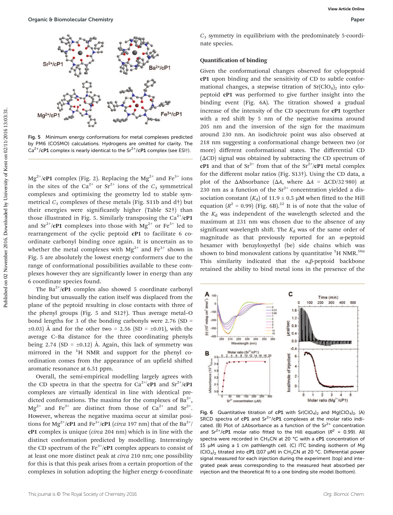

Fig. 5 Minimum energy conformations for metal complexes predicted by PM6 (COSMO) calculations. Hydrogens are omitted for clarity. The  $Ca^{2+}/c$ P1 complex is nearly identical to the Sr<sup>2+</sup>/cP1 complex (see ESI<sup>†</sup>).

 $Mg^{2+}/cP1$  complex (Fig. 2). Replacing the  $Mg^{2+}$  and Fe<sup>3+</sup> ions in the sites of the Ca<sup>2+</sup> or Sr<sup>2+</sup> ions of the  $C_3$  symmetrical complexes and optimising the geometry led to stable symmetrical  $C_3$  complexes of these metals (Fig. S11b and d†) but their energies were significantly higher (Table S2†) than those illustrated in Fig. 5. Similarly transposing the  $Ca^{2+}/cP1$ and  $Sr^{2+}/cP1$  complexes into those with  $Mg^{2+}$  or  $Fe^{3+}$  led to rearrangement of the cyclic peptoid cP1 to facilitate 6 coordinate carbonyl binding once again. It is uncertain as to whether the metal complexes with  $Mg^{2+}$  and Fe<sup>3+</sup> shown in Fig. 5 are absolutely the lowest energy conformers due to the range of conformational possibilities available to these complexes however they are significantly lower in energy than any 6 coordinate species found.

The  $Ba^{2+}/cP1$  complex also showed 5 coordinate carbonyl binding but unusually the cation itself was displaced from the plane of the peptoid resulting in close contacts with three of the phenyl groups (Fig. 5 and S12†). Thus average metal–O bond lengths for 3 of the bonding carbonyls were  $2.76$  (SD =  $\pm 0.03$ ) Å and for the other two = 2.56 (SD =  $\pm 0.01$ ), with the average C–Ba distance for the three coordinating phenyls being 2.74 (SD =  $\pm$ 0.12) Å. Again, this lack of symmetry was mirrored in the  ${}^{1}H$  NMR and support for the phenyl coordination comes from the appearance of an upfield shifted aromatic resonance at 6.51 ppm.

Overall, the semi-empirical modelling largely agrees with the CD spectra in that the spectra for  $Ca^{2+}/cP1$  and  $Sr^{2+}/cP1$ complexes are virtually identical in line with identical predicted conformations. The maxima for the complexes of  $Ba^{2+}$ ,  $Mg^{2+}$  and Fe<sup>3+</sup> are distinct from those of Ca<sup>2+</sup> and Sr<sup>2+</sup>. However, whereas the negative maxima occur at similar positions for Mg<sup>2+</sup>/cP1 and Fe<sup>3+</sup>/cP1 (*circa* 197 nm) that of the Ba<sup>2+</sup>/ cP1 complex is unique (circa 204 nm) which is in line with the distinct conformation predicted by modelling. Interestingly the CD spectrum of the Fe<sup>3+</sup>/cP1 complex appears to consist of at least one more distinct peak at circa 210 nm; one possibility for this is that this peak arises from a certain proportion of the complexes in solution adopting the higher energy 6-coordinate

 $C_3$  symmetry in equilibrium with the predominately 5-coordinate species.

#### Quantification of binding

Given the conformational changes observed for cylopeptoid cP1 upon binding and the sensitivity of CD to subtle conformational changes, a stepwise titration of  $Sr(ClO<sub>4</sub>)<sub>2</sub>$  into cylopeptoid cP1 was performed to give further insight into the binding event (Fig. 6A). The titration showed a gradual increase of the intensity of the CD spectrum for cP1 together with a red shift by 5 nm of the negative maxima around 205 nm and the inversion of the sign for the maximum around 230 nm. An isodichroic point was also observed at 218 nm suggesting a conformational change between two (or more) different conformational states. The differential CD (ΔCD) signal was obtained by subtracting the CD spectrum of **cP1** and that of  $Sr^{2+}$  from that of the  $Sr^{2+}/cP1$  metal complex for the different molar ratios (Fig. S13†). Using the CD data, a plot of the  $\triangle$ Absorbance ( $\triangle$ A, where  $\triangle$ A =  $\triangle$ CD/32 980) at 230 nm as a function of the  $Sr^{2+}$  concentration yielded a dissociation constant  $(K_d)$  of 11.9  $\pm$  0.5 µM when fitted to the Hill equation  $(R^2 = 0.99)$  (Fig. 6B).<sup>22</sup> It is of note that the value of the  $K_d$  was independent of the wavelength selected and the maximum at 231 nm was chosen due to the absence of any significant wavelength shift. The  $K_d$  was of the same order of magnitude as that previously reported for an α-peptoid hexamer with benzyloxyethyl (be) side chains which was shown to bind monovalent cations by quantitative  ${}^{1}$ H NMR.<sup>10a</sup> This similarity indicated that the  $\alpha$ , $\beta$ -peptoid backbone retained the ability to bind metal ions in the presence of the



Fig. 6 Quantitative titration of cP1 with  $Sr(CIO<sub>4</sub>)<sub>2</sub>$  and  $Mg(CIO<sub>4</sub>)<sub>2</sub>$ . (A) SRCD spectra of  $cP1$  and  $Sr^{2+}/cP1$  complexes at the molar ratio indicated. (B) Plot of  $\triangle$ Absorbance as a function of the Sr<sup>2+</sup> concentration and Sr<sup>2+</sup>/cP1 molar ratio fitted to the Hill equation ( $R^2 = 0.99$ ). All spectra were recorded in CH<sub>3</sub>CN at 20 °C with a cP1 concentration of 15 µM using a 1 cm pathlength cell. (C) ITC binding isotherm of Mg  $(CIO<sub>4</sub>)<sub>2</sub>$  titrated into cP1 (107 µM) in CH<sub>3</sub>CN at 20 °C. Differential power signal measured for each injection during the experiment (top) and integrated peak areas corresponding to the measured heat absorbed per injection and the theoretical fit to a one binding site model (bottom).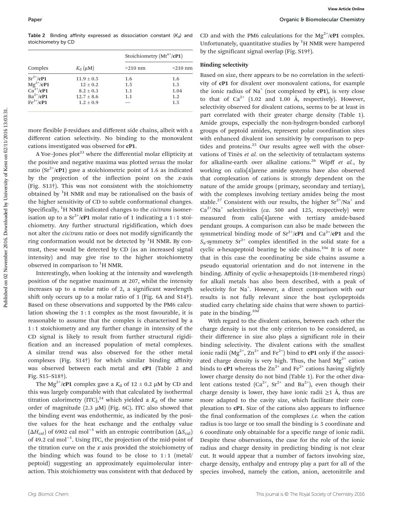Table 2 Binding affinity expressed as dissociation constant  $(K_d)$  and stoichiometry by CD

| $K_{\rm d}$ ( $\mu$ M) | Stoichiometry $(Mt^{n+}/cP1)$ |               |
|------------------------|-------------------------------|---------------|
|                        | $>210$ nm                     | $\leq$ 210 nm |
| $11.9 \pm 0.5$         | 1.6                           | 1.6           |
| $12 \pm 0.2$           | 1.5                           | 1.5           |
| $8.2 \pm 0.3$          | 1.1                           | 1.04          |
| $12.7 \pm 8.6$         | 1.1                           | 1.2           |
| $1.2 \pm 0.9$          |                               | 1.5           |
|                        |                               |               |

more flexible β-residues and different side chains, albeit with a different cation selectivity. No binding to the monovalent cations investigated was observed for cP1.

A Yoe–Jones  $plot^{23}$  where the differential molar ellipticity at the positive and negative maxima was plotted versus the molar ratio ( $Sr^{2+}/CP1$ ) gave a stoichiometric point of 1.6 as indicated by the projection of the inflection point on the  $x$ -axis (Fig. S13†). This was not consistent with the stoichiometry obtained by  ${}^{1}H$  NMR and may be rationalised on the basis of the higher sensitivity of CD to subtle conformational changes. Specifically,  ${}^{1}$ H NMR indicated changes to the *cis/trans* isomerisation up to a  $\text{Sr}^{2+}/\text{cP1}$  molar ratio of 1 indicating a 1:1 stoichiometry. Any further structural rigidification, which does not alter the cis/trans ratio or does not modify significantly the ring conformation would not be detected by  ${}^{1}$ H NMR. By contrast, these would be detected by CD (as an increased signal intensity) and may give rise to the higher stoichiometry observed in comparison to <sup>1</sup>H NMR.

Interestingly, when looking at the intensity and wavelength position of the negative maximum at 207, whilst the intensity increases up to a molar ratio of 2, a significant wavelength shift only occurs up to a molar ratio of 1 (Fig. 6A and S14†). Based on these observations and supported by the PM6 calculation showing the 1 : 1 complex as the most favourable, it is reasonable to assume that the complex is characterised by a 1 : 1 stoichiometry and any further change in intensity of the CD signal is likely to result from further structural rigidification and an increased population of metal complexes. A similar trend was also observed for the other metal complexes (Fig. S14†) for which similar binding affinity was observed between each metal and cP1 (Table 2 and Fig. S15–S18†).

The Mg<sup>2+</sup>/cP1 complex gave a  $K_d$  of 12  $\pm$  0.2 µM by CD and this was largely comparable with that calculated by isothermal titration calorimetry (ITC),<sup>24</sup> which yielded a  $K_d$  of the same order of magnitude  $(2.3 \mu M)$  (Fig. 6C). ITC also showed that the binding event was endothermic, as indicated by the positive values for the heat exchange and the enthalpy value  $(\Delta H_{\text{cal}})$  of 6902 cal mol<sup>-1</sup> with an entropic contribution ( $\Delta S_{\text{cal}}$ ) of 49.2 cal mol−<sup>1</sup> . Using ITC, the projection of the mid-point of the titration curve on the  $x$  axis provided the stoichiometry of the binding which was found to be close to  $1:1$  (metal/ peptoid) suggesting an approximately equimolecular interaction. This stoichiometry was consistent with that deduced by

CD and with the PM6 calculations for the Mg<sup>2+</sup>/cP1 complex. Unfortunately, quantitative studies by  ${}^{1}H$  NMR were hampered by the significant signal overlap (Fig. S19†).

#### Binding selectivity

Based on size, there appears to be no correlation in the selectivity of cP1 for divalent over monovalent cations, for example the ionic radius of  $Na<sup>+</sup>$  (not complexed by cP1), is very close to that of  $Ca^{2+}$  (1.02 and 1.00 Å, respectively). However, selectivity observed for divalent cations, seems to be at least in part correlated with their greater charge density (Table 1). Amide groups, especially the non-hydrogen-bonded carbonyl groups of peptoid amides, represent polar coordination sites with enhanced divalent ion sensitivity by comparison to peptides and proteins. $25$  Our results agree well with the observations of Tinès et al. on the selectivity of tetralactam systems for alkaline-earth over alkaline cations.<sup>26</sup> Wipff et al., by working on calix[4]arene amide systems have also observed that complexation of cations is strongly dependent on the nature of the amide groups (primary, secondary and tertiary), with the complexes involving tertiary amides being the most stable.<sup>27</sup> Consistent with our results, the higher  $Sr^{2+}/Na^{+}$  and  $Ca^{2+}/Na^{+}$  selectivities (ca. 500 and 125, respectively) were measured from calix[4]arene with tertiary amide-based pendant groups. A comparison can also be made between the symmetrical binding mode of  $Sr^{2+}/cP1$  and  $Ca^{2+}/cP1$  and the  $S_6$ -symmetry Sr<sup>2+</sup> complex identified in the solid state for a cyclic  $\alpha$ -hexapeptoid bearing be side chains.<sup>10a</sup> It is of note that in this case the coordinating be side chains assume a pseudo equatorial orientation and do not intervene in the binding. Affinity of cyclic α-hexapeptoids (18-membered rings) for alkali metals has also been described, with a peak of selectivity for Na<sup>+</sup>. However, a direct comparison with our results is not fully relevant since the host cyclopeptoids studied carry chelating side chains that were shown to participate in the binding.<sup>10d</sup>

With regard to the divalent cations, between each other the charge density is not the only criterion to be considered, as their difference in size also plays a significant role in their binding selectivity. The divalent cations with the smallest ionic radii  $(Mg^{2+}, Zn^{2+}$  and  $Fe^{2+})$  bind to **cP1** only if the associated charge density is very high. Thus, the hard  $Mg^{2+}$  cation binds to **cP1** whereas the  $\text{Zn}^{2+}$  and Fe<sup>2+</sup> cations having slightly lower charge density do not bind (Table 1). For the other divalent cations tested  $(Ca^{2+}, Sr^{2+}$  and  $Ba^{2+}$ ), even though their charge density is lower, they have ionic radii  $\geq 1$  Å, thus are more adapted to the cavity size, which facilitate their complexation to cP1. Size of the cations also appears to influence the final conformation of the complexes  $i.e.$  when the cation radius is too large or too small the binding is 5 coordinate and 6 coordinate only obtainable for a specific range of ionic radii. Despite these observations, the case for the role of the ionic radius and charge density in predicting binding is not clear cut. It would appear that a number of factors involving size, charge density, enthalpy and entropy play a part for all of the species involved, namely the cation, anion, acetonitrile and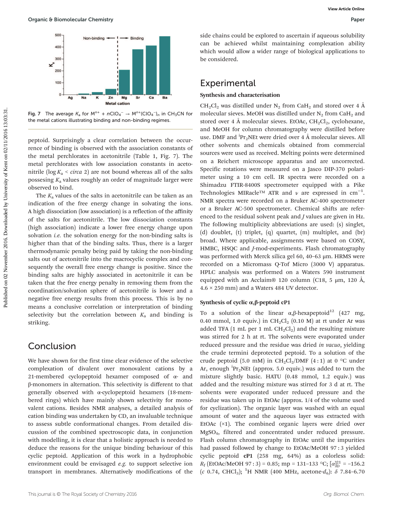

Fig. 7 The average  $K_a$  for  $M^{n+}$  +  $nClO_4^ \rightarrow$   $M^{n+}(ClO_4^-)_n$  in  $CH_3CN$  for the metal cations illustrating binding and non-binding regimes.

peptoid. Surprisingly a clear correlation between the occurrence of binding is observed with the association constants of the metal perchlorates in acetonitrile (Table 1, Fig. 7). The metal perchlorates with low association constants in acetonitrile ( $log K_a < circa$  2) are not bound whereas all of the salts possesing  $K_a$  values roughly an order of magnitude larger were observed to bind.

The  $K_a$  values of the salts in acetonitrile can be taken as an indication of the free energy change in solvating the ions. A high dissociation (low association) is a reflection of the affinity of the salts for acetonitrile. The low dissociation constants (high association) indicate a lower free energy change upon solvation *i.e.* the solvation energy for the non-binding salts is higher than that of the binding salts. Thus, there is a larger thermodynamic penalty being paid by taking the non-binding salts out of acetonitrile into the macrocyclic complex and consequently the overall free energy change is positive. Since the binding salts are highly associated in acetonitrile it can be taken that the free energy penalty in removing them from the coordination/solvation sphere of acetonitrile is lower and a negative free energy results from this process. This is by no means a conclusive correlation or interpretation of binding selectivity but the correlation between  $K_a$  and binding is striking.

### Conclusion

We have shown for the first time clear evidence of the selective complexation of divalent over monovalent cations by a 21-membered cyclopeptoid hexamer composed of α- and β-monomers in alternation. This selectivity is different to that generally observed with α-cyclopeptoid hexamers (18-membered rings) which have mainly shown selectivity for monovalent cations. Besides NMR analyses, a detailed analysis of cation binding was undertaken by CD, an invaluable technique to assess subtle conformational changes. From detailed discussion of the combined spectroscopic data, in conjunction with modelling, it is clear that a holistic approach is needed to deduce the reasons for the unique binding behaviour of this cyclic peptoid. Application of this work in a hydrophobic environment could be envisaged e.g. to support selective ion transport in membranes. Alternatively modifications of the side chains could be explored to ascertain if aqueous solubility can be achieved whilst maintaining complexation ability which would allow a wider range of biological applications to be considered.

### **Experimental**

#### Synthesis and characterisation

 $CH_2Cl_2$  was distilled under N<sub>2</sub> from CaH<sub>2</sub> and stored over 4 Å molecular sieves. MeOH was distilled under  $N_2$  from CaH<sub>2</sub> and stored over 4 Å molecular sieves. EtOAc,  $CH_2Cl_2$ , cyclohexane, and MeOH for column chromatography were distilled before use. DMF and  ${}^{i}Pr_{2}NEt$  were dried over 4 Å molecular sieves. All other solvents and chemicals obtained from commercial sources were used as received. Melting points were determined on a Reichert microscope apparatus and are uncorrected. Specific rotations were measured on a Jasco DIP-370 polarimeter using a 10 cm cell. IR spectra were recorded on a Shimadzu FTIR-8400S spectrometer equipped with a Pike Technologies MIRacle™ ATR and  $\nu$  are expressed in cm<sup>-1</sup>. NMR spectra were recorded on a Bruker AC-400 spectrometer or a Bruker AC-500 spectrometer. Chemical shifts are referenced to the residual solvent peak and J values are given in Hz. The following multiplicity abbreviations are used: (s) singlet, (d) doublet, (t) triplet, (q) quartet, (m) multiplet, and (br) broad. Where applicable, assignments were based on COSY, HMBC, HSQC and J-mod-experiments. Flash chromatography was performed with Merck silica gel 60, 40–63 μm. HRMS were recorded on a Micromass Q-Tof Micro (3000 V) apparatus. HPLC analysis was performed on a Waters 590 instrument equipped with an Acclaim® 120 column (C18, 5 µm, 120 Å,  $4.6 \times 250$  mm) and a Waters 484 UV detector.

#### Synthesis of cyclic  $\alpha$ , β-peptoid cP1

To a solution of the linear  $\alpha$ , β-hexapeptoid<sup>12</sup> (427 mg, 0.40 mmol, 1.0 equiv.) in  $CH_2Cl_2$  (0.10 M) at rt under Ar was added TFA (1 mL per 1 mL  $CH_2Cl_2$ ) and the resulting mixture was stirred for 2 h at rt. The solvents were evaporated under reduced pressure and the residue was dried in vacuo, yielding the crude termini deprotected peptoid. To a solution of the crude peptoid (5.0 mM) in CH<sub>2</sub>Cl<sub>2</sub>/DMF (4:1) at 0 °C under Ar, enough  ${}^{\mathrm{i}}\text{Pr}_{2}\text{NEt}$  (approx. 5.0 equiv.) was added to turn the mixture slightly basic. HATU (0.48 mmol, 1.2 equiv.) was added and the resulting mixture was stirred for 3 d at rt. The solvents were evaporated under reduced pressure and the residue was taken up in EtOAc (approx. 1/4 of the volume used for cyclization). The organic layer was washed with an equal amount of water and the aqueous layer was extracted with EtOAc (×1). The combined organic layers were dried over MgSO4, filtered and concentrated under reduced pressure. Flash column chromatography in EtOAc until the impurities had passed followed by change to EtOAc/MeOH 97 : 3 yielded cyclic peptoid cP1 (258 mg, 64%) as a colorless solid:  $R_{\rm f}$  (EtOAc/MeOH 97:3) = 0.85; mp = 131-133 °C; [ $\alpha$ ] $_{\rm D}^{\rm 21}$  = -156.2 (c 0.74, CHCl<sub>3</sub>); <sup>1</sup>H NMR (400 MHz, acetone- $d_6$ ):  $\delta$  7.84-6.70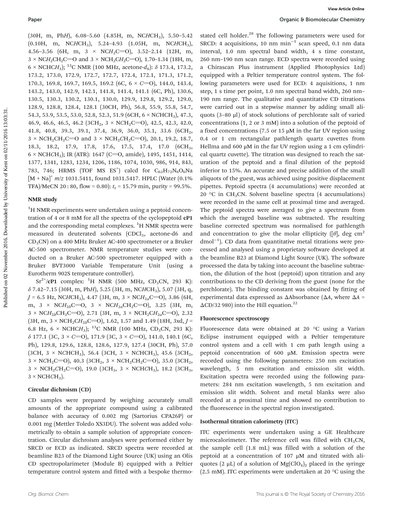(30H, m, PhH),  $6.08-5.60$  (4.85H, m, NCHCH<sub>3</sub>),  $5.50-5.42$  $(0.10H, m, NCHCH<sub>3</sub>), 5.24-4.93 (1.05H, m, NCHCH<sub>3</sub>),$ 4.56–3.56 (6H, m, 3  $\times$  NCH<sub>2</sub>C=O), 3.52–2.14 (12H, m,  $3 \times NCH_2CH_2C = 0$  and  $3 \times NCH_2CH_2C = 0$ , 1.70–1.34 (18H, m, 6 × NCHCH<sub>3</sub>); <sup>13</sup>C NMR (100 MHz, acetone- $d_6$ ):  $\delta$  173.4, 173.2, 173.2, 173.0, 172.9, 172.7, 172.7, 172.4, 172.1, 171.3, 171.2, 170.3, 169.8, 169.7, 169.5, 169.2 (6C,  $6 \times C = 0$ ), 144.0, 143.4, 143.2, 143.0, 142.9, 142.1, 141.8, 141.4, 141.1 (6C, Ph), 130.6, 130.5, 130.3, 130.2, 130.1, 130.0, 129.9, 129.8, 129.2, 129.0, 128.9, 128.8, 128.4, 128.1 (30CH, Ph), 56.8, 55.9, 55.8, 54.7, 54.3, 53.9, 53.5, 53.0, 52.8, 52.3, 51.9 (6CH, 6 × NCHCH3), 47.3, 46.9, 46.6, 46.5, 46.2 ( $3CH_2$ ,  $3 \times NCH_2C=O$ ), 42.5, 42.3, 42.0, 41.8, 40.8, 39.3, 39.1, 37.4, 36.9, 36.0, 35.1, 33.6 (6CH<sub>2</sub>,  $3 \times NCH_2CH_2C = 0$  and  $3 \times NCH_2CH_2C = 0$ , 20.1, 19.2, 18.7, 18.3, 18.2, 17.9, 17.8, 17.6, 17.5, 17.4, 17.0 (6CH<sub>3</sub>,  $6 \times \text{NCHCH}_3$ ); IR (ATR): 1647 (C=O, amide), 1495, 1451, 1414, 1377, 1341, 1283, 1234, 1206, 1186, 1074, 1030, 986, 914, 843, 783, 746; HRMS (TOF MS  $ES^+$ ) calcd for  $C_{63}H_{72}N_6O_6N_8$  $[M + Na]^{+} m/z$  1031.5411, found 1031.5417. HPLC (Water (0.1%) TFA)/MeCN 20:80, flow = 0.80):  $t_r$  = 15.79 min, purity = 99.5%.

#### NMR study

<sup>1</sup>H NMR experiments were undertaken using a peptoid concentration of 4 or 8 mM for all the spectra of the cyclopeptoid cP1 and the corresponding metal complexes.  ${}^{1}$ H NMR spectra were measured in deuterated solvents (CDCl<sub>3</sub>, acetone-d6 and CD3CN) on a 400 MHz Bruker AC-400 spectrometer or a Bruker AC-500 spectrometer. NMR temperature studies were conducted on a Bruker AC-500 spectrometer equipped with a Bruker BVT3000 Variable Temperature Unit (using a Eurotherm 902S temperature controller).

 $Sr^{2+}/CP1$  complex: <sup>1</sup>H NMR (500 MHz, CD<sub>3</sub>CN, 293 K):  $\delta$  7.42-7.15 (30H, m, PhH), 5.25 (3H, m, NCHCH<sub>3</sub>), 5.07 (3H, q,  $J = 6.5$  Hz, NCHCH<sub>3</sub>), 4.47 (3H, m, 3 × NCH<sub>2a</sub>C=O), 3.86 (6H, m,  $3 \times NCH_{2b}C=O$ ,  $3 \times NCH_{2a}CH_{2}C=O$ ,  $3.25$  (3H, m,  $3 \times NCH_{2b}CH_2C=O$ , 2.71 (3H, m,  $3 \times NCH_2CH_{2a}C=O$ ), 2.32  $(3H, m, 3 \times NCH_2CH_2bC=O), 1.62, 1.57, and 1.49 (18H, 3xd, J=$ 6.8 Hz,  $6 \times \text{NCHCH}_3$ ; <sup>13</sup>C NMR (100 MHz, CD<sub>3</sub>CN, 293 K):  $\delta$  177.1 (3C, 3 × C=O), 171.9 (3C, 3 × C=O), 141.0, 140.1 (6C, Ph), 129.8, 129.6, 128.8, 128.6, 127.9, 127.4 (30CH, Ph), 57.0 (3CH, 3 × NCHCH<sub>3</sub>), 56.4 (3CH, 3 × NCHCH<sub>3</sub>), 45.6 (3CH<sub>2</sub>,  $3 \times \text{NCH}_2$ C=O), 40.3 (3CH<sub>2</sub>,  $3 \times \text{NCH}_2$ CH<sub>2</sub>C=O), 35.0 (3CH<sub>2</sub>,  $3 \times \text{NCH}_2\text{CH}_2\text{C}$ =O), 19.0 (3CH<sub>3</sub>, 3  $\times$  NCHCH<sub>3</sub>), 18.2 (3CH<sub>3</sub>,  $3 \times \text{NCHCH}_3$ ).

#### Circular dichroism (CD)

CD samples were prepared by weighing accurately small amounts of the appropriate compound using a calibrated balance with accuracy of 0.002 mg (Sartorius CPA26P) or 0.001 mg (Mettler Toledo XS3DU). The solvent was added volumetrically to obtain a sample solution of appropriate concentration. Circular dichroism analyses were performed either by SRCD or ECD as indicated. SRCD spectra were recorded at beamline B23 of the Diamond Light Source (UK) using an Olis CD spectropolarimeter (Module B) equipped with a Peltier temperature control system and fitted with a bespoke thermo-

stated cell holder.<sup>28</sup> The following parameters were used for SRCD: 4 acquisitions, 10 nm min<sup>-1</sup> scan speed, 0.1 nm data interval, 1.0 nm spectral band width, 4 s time constant, 260 nm–190 nm scan range. ECD spectra were recorded using a Chirascan Plus instrument (Applied Photophysics Ltd) equipped with a Peltier temperature control system. The following parameters were used for ECD: 4 aquisitions, 1 nm step, 1 s time per point, 1.0 nm spectral band width, 260 nm– 190 nm range. The qualitative and quantitative CD titrations were carried out in a stepwise manner by adding small aliquots (3–80 μl) of stock solutions of perchlorate salt of varied concentrations (1, 2 or 3 mM) into a solution of the peptoid of a fixed concentrations (7.5 or 15  $\mu$ M in the far UV region using 0.4 or 1 cm rectangular pathlength quartz cuvettes from Hellma and 600 μM in the far UV region using a 1 cm cylindrical quartz cuvette). The titration was designed to reach the saturation of the peptoid and a final dilution of the peptoid inferior to 15%. An accurate and precise addition of the small aliquots of the guest, was achieved using positive displacement pipettes. Peptoid spectra (4 accumulations) were recorded at 20 °C in CH<sub>3</sub>CN. Solvent baseline spectra (4 accumulations) were recorded in the same cell at proximal time and averaged. The peptoid spectra were averaged to give a spectrum from which the averaged baseline was subtracted. The resulting baseline corrected spectrum was normalised for pathlength and concentration to give the molar ellipticity ([ $\theta$ ], deg cm<sup>2</sup> dmol−<sup>1</sup> ). CD data from quantitative metal titrations were processed and analysed using a proprietary software developed at the beamline B23 at Diamond Light Source (UK). The software processed the data by taking into account the baseline subtraction, the dilution of the host (peptoid) upon titration and any contributions to the CD deriving from the guest (none for the perchlorate). The binding constant was obtained by fitting of experimental data expressed as  $\Delta$ Absorbance ( $\Delta$ A, where  $\Delta$ A =  $\Delta$ CD/32 980) into the Hill equation.<sup>22</sup>

#### Fluorescence spectroscopy

Fluorescence data were obtained at 20 °C using a Varian Eclipse instrument equipped with a Peltier temperature control system and a cell with 1 cm path length using a peptoid concentration of 600 μM. Emission spectra were recorded using the following parameters: 250 nm excitation wavelength, 5 nm excitation and emission slit width. Excitation spectra were recorded using the following parameters: 284 nm excitation wavelength, 5 nm excitation and emission slit width. Solvent and metal blanks were also recorded at a proximal time and showed no contribution to the fluorescence in the spectral region investigated.

#### Isothermal titration calorimetry (ITC)

ITC experiments were undertaken using a GE Healthcare microcalorimeter. The reference cell was filled with  $CH<sub>3</sub>CN$ , the sample cell (1.8 mL) was filled with a solution of the peptoid at a concentration of 107 μM and titrated with aliquotes (2  $\mu$ L) of a solution of Mg(ClO<sub>4</sub>)<sub>2</sub> placed in the syringe (2.5 mM). ITC experiments were undertaken at 20 °C using the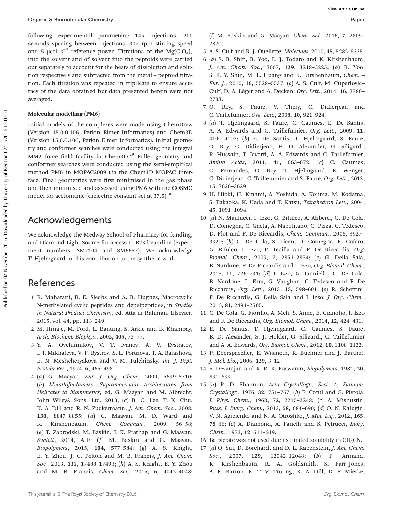following experimental parameters: 145 injections, 200 seconds spacing between injections, 307 rpm stirring speed and 5 µcal s<sup>-1</sup> reference power. Titrations of the Mg(ClO<sub>4</sub>)<sub>2</sub> into the solvent and of solvent into the peptoids were carried out separately to account for the heats of dissolution and solution respectively and subtracted from the metal – peptoid titration. Each titration was repeated in triplicate to ensure accuracy of the data obtained but data presented herein were not averaged.

#### Molecular modelling (PM6)

Initial models of the complexes were made using ChemDraw (Version 15.0.0.106, Perkin Elmer Informatics) and Chem3D (Version 15.0.0.106, Perkin Elmer Informatics). Initial geometry and conformer searches were conducted using the integral MM2 force field facility in Chem3D.<sup>29</sup> Fuller geometry and conformer searches were conducted using the semi-empirical method PM6 in MOPAC2009 via the Chem3D MOPAC interface. Final geometries were first minimised in the gas phase and then minimised and assessed using PM6 with the COSMO model for acetonitrile (dielectric constant set at 37.5).<sup>30</sup>

#### Acknowledgements

We acknowledge the Medway School of Pharmacy for funding, and Diamond Light Source for access to B23 beamline (experiment numbers: SM7104 and SM6657). We acknowledge T. Hjelmgaard for his contribution to the synthetic work.

#### References

- 1 R. Maharani, B. E. Sleebs and A. B. Hughes, Macrocyclic N-methylated cyclic peptides and depsipeptides, in Studies in Natural Product Chemistry, ed. Atta-ur-Rahman, Elsevier, 2015, vol. 44, pp. 113–249.
- 2 M. Hinaje, M. Ford, L. Banting, S. Arkle and B. Khambay, Arch. Biochem. Biophys., 2002, 405, 73–77.
- 3 Y. A. Ovchinnikov, V. T. Ivanov, A. V. Evstratov, I. I. Mikhaleva, V. F. Bystrov, S. L. Portnova, T. A. Balashova, E. N. Meshcheryakova and V. M. Tulchinsky, Int. J. Pept. Protein Res., 1974, 6, 465–498.
- 4 (a) G. Maayan, Eur. J. Org. Chem., 2009, 5699–5710; (b) Metallofoldamers. Supramolecular Architectures from Helicates to biomimetics, ed. G. Maayan and M. Albrecht, John Wiley& Sons, Ltd, 2013; (c) B. C. Lee, T. K. Chu, K. A. Dill and R. N. Zuckermann, J. Am. Chem. Soc., 2008, 130, 8847–8855; (d) G. Maayan, M. D. Ward and K. Kirshenbaum, Chem. Commun., 2009, 56–58; (e) T. Zabrodski, M. Baskin, J. K. Prathap and G. Maayan, Synlett, 2014, A–F; (f) M. Baskin and G. Maayan, Biopolymers, 2015, 104, 577–584; (g) A. S. Knight, E. Y. Zhou, J. G. Pelton and M. B. Francis, J. Am. Chem. Soc., 2013, 135, 17488–17493; (h) A. S. Knight, E. Y. Zhou and M. B. Francis, Chem. Sci., 2015, 6, 4042–4048;
- (i) M. Baskin and G. Maayan, Chem. Sci., 2016, 7, 2809– 2820.
- 5 A. S. Culf and R. J. Ouellette, Molecules, 2010, 15, 5282–5335.
- 6 (a) S. B. Shin, B. Yoo, L. J. Todaro and K. Kirshenbaum, J. Am. Chem. Soc., 2007, 129, 3218–3225; (b) B. Yoo, S. B. Y. Shin, M. L. Huang and K. Kirshenbaum, Chem. – Eur. J., 2010, 16, 5528–5537; (c) A. S. Culf, M. Cuperlovic– Culf, D. A. Léger and A. Decken, Org. Lett., 2014, 16, 2780– 2783.
- 7 O. Roy, S. Faure, V. Thery, C. Didierjean and C. Taillefumier, Org. Lett., 2008, 10, 921–924.
- 8 (a) T. Hjelmgaard, S. Faure, C. Caumes, E. De Santis, A. A. Edwards and C. Taillefumier, Org. Lett., 2009, 11, 4100–4103; (b) E. De Santis, T. Hjelmgaard, S. Faure, O. Roy, C. Didierjean, B. D. Alexander, G. Siligardi, R. Hussain, T. Javorfi, A. A. Edwards and C. Taillefumier, Amino Acids, 2011, 41, 663–672; (c) C. Caumes, C. Fernandes, O. Roy, T. Hjelmgaard, E. Wenger, C. Didierjean, C. Taillefumier and S. Faure, Org. Lett., 2013, 15, 3626–3629.
- 9 H. Hioki, H. Kinami, A. Yoshida, A. Kojima, M. Kodama, S. Takaoka, K. Ueda and T. Katsu, Tetrahedron Lett., 2004, 45, 1091–1094.
- 10 (a) N. Maulucci, I. Izzo, G. Bifulco, A. Aliberti, C. De Cola, D. Comegna, C. Gaeta, A. Napolitano, C. Pizza, C. Tedesco, D. Flot and F. De Riccardis, Chem. Commun., 2008, 3927– 3929; (b) C. De Cola, S. Licen, D. Comegna, E. Cafaro, G. Bifulco, I. Izzo, P. Tecilla and F. De Riccardis, Org. Biomol. Chem., 2009, 7, 2851–2854; (c) G. Della Sala, B. Nardone, F. De Riccardis and I. Izzo, Org. Biomol. Chem., 2013, 11, 726–731; (d) I. Izzo, G. Ianniello, C. De Cola, B. Nardone, L. Erra, G. Vaughan, C. Tedesco and F. De Riccardis, Org. Lett., 2013, 15, 598–601; (e) R. Schettini, F. De Riccardis, G. Della Sala and I. Izzo, J. Org. Chem., 2016, 81, 2494–2505.
- 11 C. De Cola, G. Fiorillo, A. Meli, S. Aime, E. Gianolio, I. Izzo and F. De Riccardis, Org. Biomol. Chem., 2014, 12, 424–431.
- 12 E. De Santis, T. Hjelmgaard, C. Caumes, S. Faure, B. D. Alexander, S. J. Holder, G. Siligardi, C. Taillefumier and A. A. Edwards, Org. Biomol. Chem., 2012, 10, 1108–1122.
- 13 P. Eberspaecher, E. Wismeth, R. Buchner and J. Barthel, J. Mol. Liq., 2006, 129, 3–12.
- 14 S. Devarajan and K. R. K. Easwaran, Biopolymers, 1981, 20, 891–899.
- 15 (a) R. D. Shannon, Acta Crystallogr., Sect. A: Fundam. Crystallogr., 1976, 32, 751–767; (b) F. Conti and G. Pistoia, J. Phys. Chem., 1968, 72, 2245–2248; (c) A. Mishustin, Russ. J. Inorg. Chem., 2013, 58, 684–690; (d) O. N. Kalugin, V. N. Agieienko and N. A. Otroshko, J. Mol. Liq., 2012, 165, 78–86; (e) A. Diamond, A. Fanelli and S. Petrucci, Inorg. Chem., 1973, 12, 611–619.
- 16 Ba picrate was not used due its limited solubility in  $CD_3CN$ .
- 17 (a) Q. Sui, D. Borchardt and D. L. Rabenstein, J. Am. Chem. Soc., 2007, 129, 12042-12048; (b) P. Armand, K. Kirshenbaum, R. A. Goldsmith, S. Farr–Jones, A. E. Barron, K. T. V. Truong, K. A. Dill, D. F. Mierke,